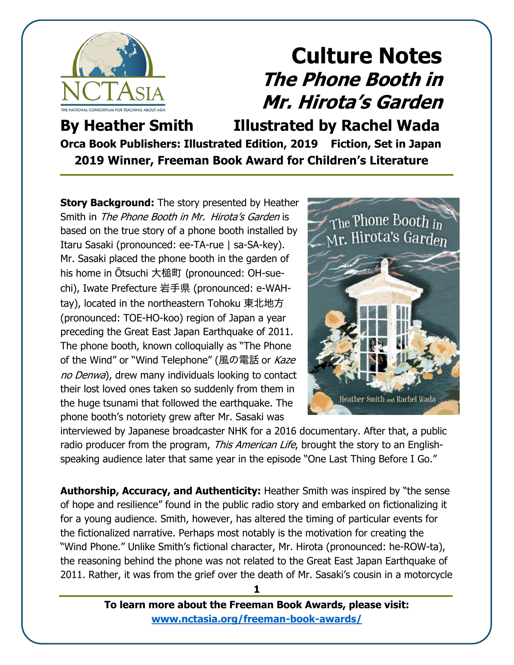

**By Heather Smith Illustrated by Rachel Wada Orca Book Publishers: Illustrated Edition, 2019 Fiction, Set in Japan 2019 Winner, Freeman Book Award for Children's Literature**

**Story Background:** The story presented by Heather Smith in The Phone Booth in Mr. Hirota's Garden is based on the true story of a phone booth installed by Itaru Sasaki (pronounced: ee-TA-rue | sa-SA-key). Mr. Sasaki placed the phone booth in the garden of his home in Ōtsuchi 大槌町 (pronounced: OH-suechi), Iwate Prefecture 岩手県 (pronounced: e-WAHtay), located in the northeastern Tohoku 東北地方 (pronounced: TOE-HO-koo) region of Japan a year preceding the Great East Japan Earthquake of 2011. The phone booth, known colloquially as "The Phone of the Wind" or "Wind Telephone" (風の電話 or Kaze no Denwa), drew many individuals looking to contact their lost loved ones taken so suddenly from them in the huge tsunami that followed the earthquake. The phone booth's notoriety grew after Mr. Sasaki was



interviewed by Japanese broadcaster NHK for a 2016 documentary. After that, a public radio producer from the program, *This American Life*, brought the story to an Englishspeaking audience later that same year in the episode "One Last Thing Before I Go."

**Authorship, Accuracy, and Authenticity:** Heather Smith was inspired by "the sense of hope and resilience" found in the public radio story and embarked on fictionalizing it for a young audience. Smith, however, has altered the timing of particular events for the fictionalized narrative. Perhaps most notably is the motivation for creating the "Wind Phone." Unlike Smith's fictional character, Mr. Hirota (pronounced: he-ROW-ta), the reasoning behind the phone was not related to the Great East Japan Earthquake of 2011. Rather, it was from the grief over the death of Mr. Sasaki's cousin in a motorcycle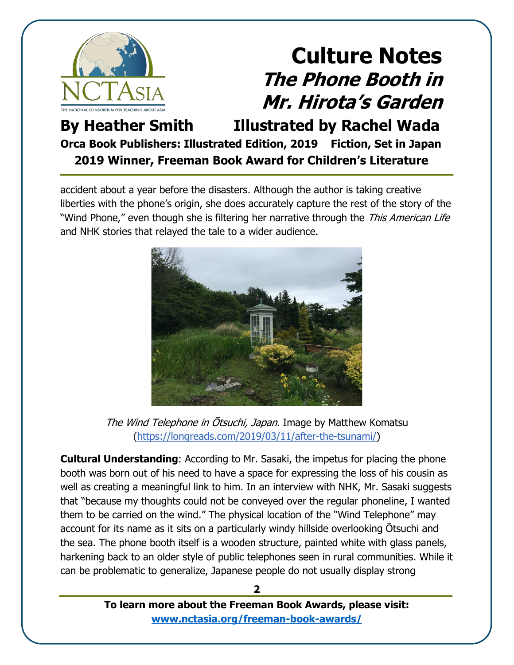

#### **By Heather Smith Illustrated by Rachel Wada Orca Book Publishers: Illustrated Edition, 2019 Fiction, Set in Japan 2019 Winner, Freeman Book Award for Children's Literature**

accident about a year before the disasters. Although the author is taking creative liberties with the phone's origin, she does accurately capture the rest of the story of the "Wind Phone," even though she is filtering her narrative through the This American Life and NHK stories that relayed the tale to a wider audience.



The Wind Telephone in Otsuchi, Japan. Image by Matthew Komatsu [\(https://longreads.com/2019/03/11/after-the-tsunami/\)](https://longreads.com/2019/03/11/after-the-tsunami/)

**Cultural Understanding**: According to Mr. Sasaki, the impetus for placing the phone booth was born out of his need to have a space for expressing the loss of his cousin as well as creating a meaningful link to him. In an interview with NHK, Mr. Sasaki suggests that "because my thoughts could not be conveyed over the regular phoneline, I wanted them to be carried on the wind." The physical location of the "Wind Telephone" may account for its name as it sits on a particularly windy hillside overlooking Ōtsuchi and the sea. The phone booth itself is a wooden structure, painted white with glass panels, harkening back to an older style of public telephones seen in rural communities. While it can be problematic to generalize, Japanese people do not usually display strong

> **To learn more about the Freeman Book Awards, please visit: [www.nctasia.org/freeman-book-awards/](https://nctasia.org/freeman-book-awards/)**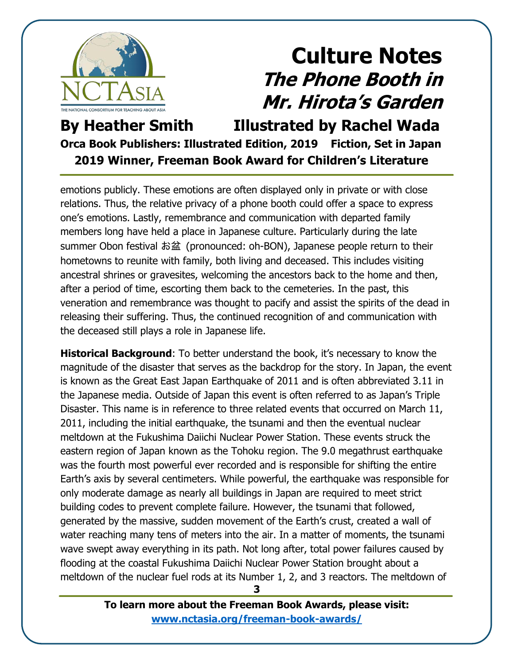

**By Heather Smith Illustrated by Rachel Wada Orca Book Publishers: Illustrated Edition, 2019 Fiction, Set in Japan 2019 Winner, Freeman Book Award for Children's Literature**

emotions publicly. These emotions are often displayed only in private or with close relations. Thus, the relative privacy of a phone booth could offer a space to express one's emotions. Lastly, remembrance and communication with departed family members long have held a place in Japanese culture. Particularly during the late summer Obon festival お盆 (pronounced: oh-BON), Japanese people return to their hometowns to reunite with family, both living and deceased. This includes visiting ancestral shrines or gravesites, welcoming the ancestors back to the home and then, after a period of time, escorting them back to the cemeteries. In the past, this veneration and remembrance was thought to pacify and assist the spirits of the dead in releasing their suffering. Thus, the continued recognition of and communication with the deceased still plays a role in Japanese life.

**Historical Background**: To better understand the book, it's necessary to know the magnitude of the disaster that serves as the backdrop for the story. In Japan, the event is known as the Great East Japan Earthquake of 2011 and is often abbreviated 3.11 in the Japanese media. Outside of Japan this event is often referred to as Japan's Triple Disaster. This name is in reference to three related events that occurred on March 11, 2011, including the initial earthquake, the tsunami and then the eventual nuclear meltdown at the Fukushima Daiichi Nuclear Power Station. These events struck the eastern region of Japan known as the Tohoku region. The 9.0 megathrust earthquake was the fourth most powerful ever recorded and is responsible for shifting the entire Earth's axis by several centimeters. While powerful, the earthquake was responsible for only moderate damage as nearly all buildings in Japan are required to meet strict building codes to prevent complete failure. However, the tsunami that followed, generated by the massive, sudden movement of the Earth's crust, created a wall of water reaching many tens of meters into the air. In a matter of moments, the tsunami wave swept away everything in its path. Not long after, total power failures caused by flooding at the coastal Fukushima Daiichi Nuclear Power Station brought about a meltdown of the nuclear fuel rods at its Number 1, 2, and 3 reactors. The meltdown of

> **To learn more about the Freeman Book Awards, please visit: [www.nctasia.org/freeman-book-awards/](https://nctasia.org/freeman-book-awards/)**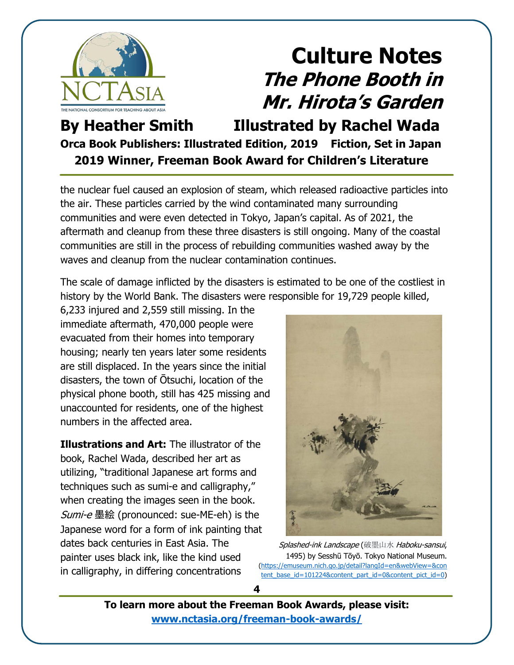

**By Heather Smith Illustrated by Rachel Wada Orca Book Publishers: Illustrated Edition, 2019 Fiction, Set in Japan 2019 Winner, Freeman Book Award for Children's Literature**

the nuclear fuel caused an explosion of steam, which released radioactive particles into the air. These particles carried by the wind contaminated many surrounding communities and were even detected in Tokyo, Japan's capital. As of 2021, the aftermath and cleanup from these three disasters is still ongoing. Many of the coastal communities are still in the process of rebuilding communities washed away by the waves and cleanup from the nuclear contamination continues.

The scale of damage inflicted by the disasters is estimated to be one of the costliest in history by the World Bank. The disasters were responsible for 19,729 people killed,

6,233 injured and 2,559 still missing. In the immediate aftermath, 470,000 people were evacuated from their homes into temporary housing; nearly ten years later some residents are still displaced. In the years since the initial disasters, the town of Ōtsuchi, location of the physical phone booth, still has 425 missing and unaccounted for residents, one of the highest numbers in the affected area.

**Illustrations and Art:** The illustrator of the book, Rachel Wada, described her art as utilizing, "traditional Japanese art forms and techniques such as sumi-e and calligraphy," when creating the images seen in the book. Sumi-e 墨絵 (pronounced: sue-ME-eh) is the Japanese word for a form of ink painting that dates back centuries in East Asia. The painter uses black ink, like the kind used in calligraphy, in differing concentrations



Splashed-ink Landscape (破墨山水 Haboku-sansui, 1495) by Sesshū Tōyō. Tokyo National Museum. [\(https://emuseum.nich.go.jp/detail?langId=en&webView=&co](https://emuseum.nich.go.jp/detail?langId=en&webView=&content_base_id=101224&content_part_id=0&content_pict_id=0)n [tent\\_base\\_id=101224&content\\_part\\_id=0&content\\_pict\\_id=0](https://emuseum.nich.go.jp/detail?langId=en&webView=&content_base_id=101224&content_part_id=0&content_pict_id=0))

**To learn more about the Freeman Book Awards, please visit: [www.nctasia.org/freeman-book-awards/](https://nctasia.org/freeman-book-awards/)**